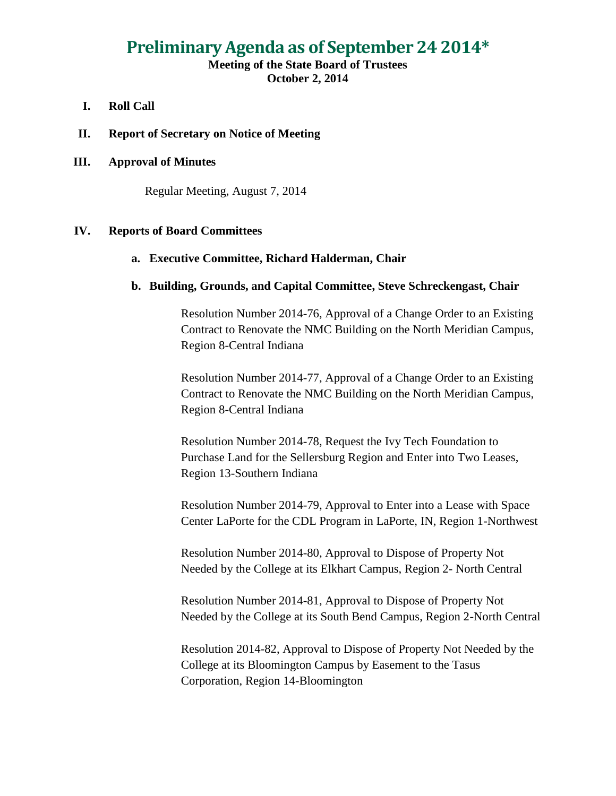# **Preliminary Agenda as of September 24 2014\***

## **Meeting of the State Board of Trustees October 2, 2014**

- **I. Roll Call**
- **II. Report of Secretary on Notice of Meeting**

#### **III. Approval of Minutes**

Regular Meeting, August 7, 2014

#### **IV. Reports of Board Committees**

#### **a. Executive Committee, Richard Halderman, Chair**

#### **b. Building, Grounds, and Capital Committee, Steve Schreckengast, Chair**

Resolution Number 2014-76, Approval of a Change Order to an Existing Contract to Renovate the NMC Building on the North Meridian Campus, Region 8-Central Indiana

Resolution Number 2014-77, Approval of a Change Order to an Existing Contract to Renovate the NMC Building on the North Meridian Campus, Region 8-Central Indiana

Resolution Number 2014-78, Request the Ivy Tech Foundation to Purchase Land for the Sellersburg Region and Enter into Two Leases, Region 13-Southern Indiana

Resolution Number 2014-79, Approval to Enter into a Lease with Space Center LaPorte for the CDL Program in LaPorte, IN, Region 1-Northwest

Resolution Number 2014-80, Approval to Dispose of Property Not Needed by the College at its Elkhart Campus, Region 2- North Central

Resolution Number 2014-81, Approval to Dispose of Property Not Needed by the College at its South Bend Campus, Region 2-North Central

Resolution 2014-82, Approval to Dispose of Property Not Needed by the College at its Bloomington Campus by Easement to the Tasus Corporation, Region 14-Bloomington